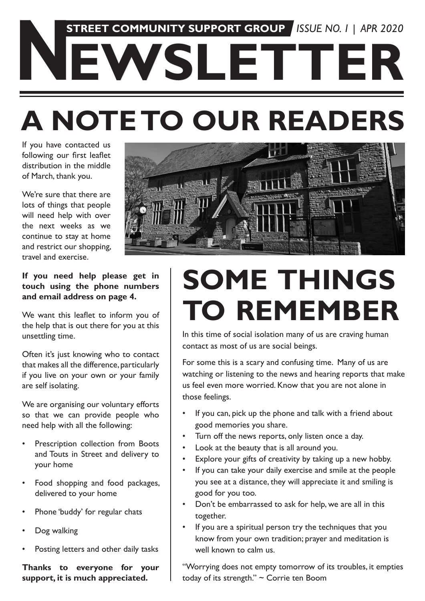# **A NOTE TO OUR READERS NEWSLETTER STREET COMMUNITY SUPPORT GROUP** *ISSUE NO. 1 | APR 2020*

If you have contacted us following our first leaflet distribution in the middle of March, thank you.

We're sure that there are lots of things that people will need help with over the next weeks as we continue to stay at home and restrict our shopping, travel and exercise.



**If you need help please get in touch using the phone numbers and email address on page 4.**

We want this leaflet to inform you of the help that is out there for you at this unsettling time.

Often it's just knowing who to contact that makes all the difference, particularly if you live on your own or your family are self isolating.

We are organising our voluntary efforts so that we can provide people who need help with all the following:

- Prescription collection from Boots and Touts in Street and delivery to your home
- Food shopping and food packages, delivered to your home
- Phone 'buddy' for regular chats
- Dog walking
- Posting letters and other daily tasks

**Thanks to everyone for your support, it is much appreciated.**

## **SOME THINGS TO REMEMBER**

In this time of social isolation many of us are craving human contact as most of us are social beings.

For some this is a scary and confusing time. Many of us are watching or listening to the news and hearing reports that make us feel even more worried. Know that you are not alone in those feelings.

- If you can, pick up the phone and talk with a friend about good memories you share.
- Turn off the news reports, only listen once a day.
- Look at the beauty that is all around you.
- Explore your gifts of creativity by taking up a new hobby.
- If you can take your daily exercise and smile at the people you see at a distance, they will appreciate it and smiling is good for you too.
- Don't be embarrassed to ask for help, we are all in this together.
- If you are a spiritual person try the techniques that you know from your own tradition; prayer and meditation is well known to calm us.

"Worrying does not empty tomorrow of its troubles, it empties today of its strength." ~ Corrie ten Boom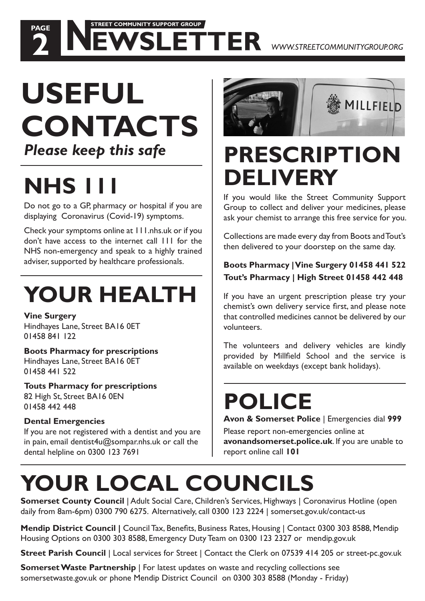#### **USEFUL CONTACTS** *Please keep this safe*

 **STREET COMMUNITY SUPPORT GROUP**

### **NHS 1**

**PAGE**

Do not go to a GP, pharmacy or hospital if you are displaying Coronavirus (Covid-19) symptoms.

Check your symptoms online at 111.nhs.uk or if you don't have access to the internet call 111 for the NHS non-emergency and speak to a highly trained adviser, supported by healthcare professionals.

### **YOUR HEALTH**

**Vine Surgery**  Hindhayes Lane, Street BA16 0ET 01458 841 122

#### **Boots Pharmacy for prescriptions** Hindhayes Lane, Street BA16 0ET 01458 441 522

**Touts Pharmacy for prescriptions** 82 High St, Street BA16 0EN 01458 442 448

#### **Dental Emergencies**

If you are not registered with a dentist and you are in pain, email dentist $4u@$ sompar.nhs.uk or call the dental helpline on 0300 123 7691



#### **PRESCRIPTION DELIVERY**

If you would like the Street Community Support Group to collect and deliver your medicines, please ask your chemist to arrange this free service for you.

Collections are made every day from Boots and Tout's then delivered to your doorstep on the same day.

#### **Boots Pharmacy | Vine Surgery 01458 441 522 Tout's Pharmacy | High Street 01458 442 448**

If you have an urgent prescription please try your chemist's own delivery service first, and please note that controlled medicines cannot be delivered by our volunteers.

The volunteers and delivery vehicles are kindly provided by Millfield School and the service is available on weekdays (except bank holidays).

### **POLICE**

**Avon & Somerset Police** | Emergencies dial **999**

Please report non-emergencies online at **avonandsomerset.police.uk**. If you are unable to report online call **101**

#### **YOUR LOCAL COUNCILS**

**Somerset County Council** | Adult Social Care, Children's Services, Highways | Coronavirus Hotline (open daily from 8am-6pm) 0300 790 6275. Alternatively, call 0300 123 2224 | somerset.gov.uk/contact-us

**Mendip District Council | Council Tax, Benefits, Business Rates, Housing | Contact 0300 303 8588, Mendip** Housing Options on 0300 303 8588, Emergency Duty Team on 0300 123 2327 or mendip.gov.uk

**Street Parish Council** | Local services for Street | Contact the Clerk on 07539 414 205 or street-pc.gov.uk

**Somerset Waste Partnership** | For latest updates on waste and recycling collections see somersetwaste.gov.uk or phone Mendip District Council on 0300 303 8588 (Monday - Friday)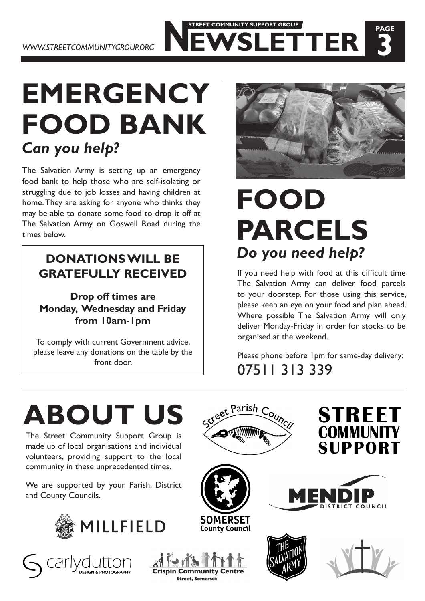#### **EMERGENCY FOOD BANK** *Can you help?*

The Salvation Army is setting up an emergency food bank to help those who are self-isolating or struggling due to job losses and having children at home. They are asking for anyone who thinks they may be able to donate some food to drop it off at The Salvation Army on Goswell Road during the times below.

### **GRATEFULLY RECEIVED**

**Drop off times are Monday, Wednesday and Friday from 10am-1pm**

To comply with current Government advice, please leave any donations on the table by the front door.



 **STREET COMMUNITY SUPPORT GROUP**

**PAGE**

#### **FOOD PARCELS DONATIONS WILL BE**  Do you need help?

If you need help with food at this difficult time The Salvation Army can deliver food parcels to your doorstep. For those using this service, please keep an eye on your food and plan ahead. Where possible The Salvation Army will only deliver Monday-Friday in order for stocks to be organised at the weekend.

Please phone before 1pm for same-day delivery: 07511 313 339



The Street Community Support Group is made up of local organisations and individual volunteers, providing support to the local community in these unprecedented times.

We are supported by your Parish, District and County Councils.







et Parish C